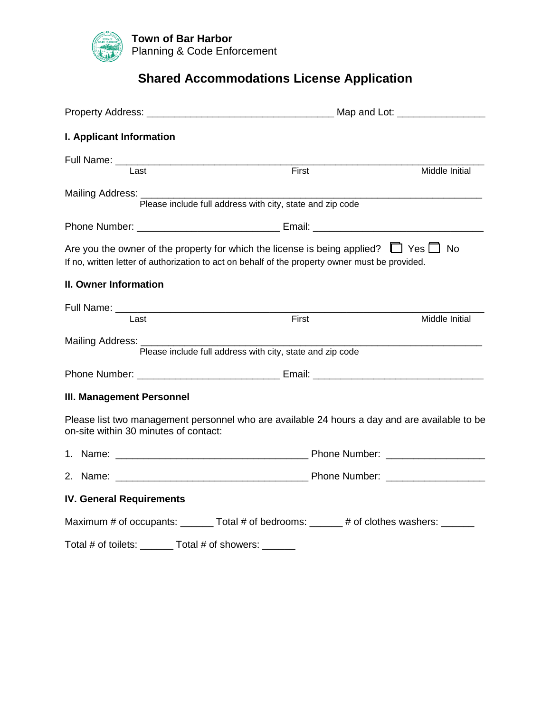

# **Shared Accommodations License Application**

|                                                                                                                                                                                                   | Map and Lot: ____________________                         |                |
|---------------------------------------------------------------------------------------------------------------------------------------------------------------------------------------------------|-----------------------------------------------------------|----------------|
| I. Applicant Information                                                                                                                                                                          |                                                           |                |
|                                                                                                                                                                                                   |                                                           |                |
| Last                                                                                                                                                                                              | First                                                     | Middle Initial |
|                                                                                                                                                                                                   | Please include full address with city, state and zip code |                |
|                                                                                                                                                                                                   |                                                           |                |
| Are you the owner of the property for which the license is being applied? $\Box$ Yes $\Box$ No<br>If no, written letter of authorization to act on behalf of the property owner must be provided. |                                                           |                |
| II. Owner Information                                                                                                                                                                             |                                                           |                |
| Last                                                                                                                                                                                              | First                                                     | Middle Initial |
| Mailing Address: _______                                                                                                                                                                          | Please include full address with city, state and zip code |                |
|                                                                                                                                                                                                   |                                                           |                |
| <b>III. Management Personnel</b>                                                                                                                                                                  |                                                           |                |
| Please list two management personnel who are available 24 hours a day and are available to be<br>on-site within 30 minutes of contact:                                                            |                                                           |                |
|                                                                                                                                                                                                   |                                                           |                |
|                                                                                                                                                                                                   |                                                           |                |
| <b>IV. General Requirements</b>                                                                                                                                                                   |                                                           |                |
| Maximum # of occupants: _______ Total # of bedrooms: ______ # of clothes washers: ______                                                                                                          |                                                           |                |
| Total # of toilets: _______ Total # of showers: ______                                                                                                                                            |                                                           |                |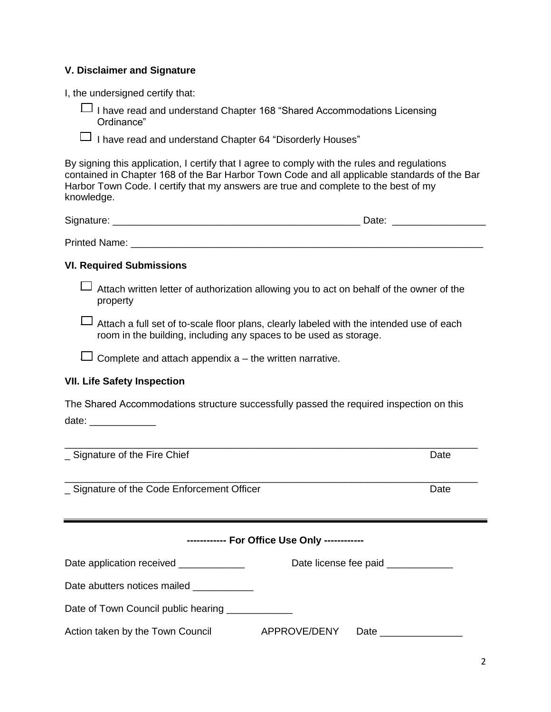### **V. Disclaimer and Signature**

I, the undersigned certify that:

⎯ I have read and understand Chapter 168 "Shared Accommodations Licensing Ordinance"

 $\Box$  I have read and understand Chapter 64 "Disorderly Houses"

By signing this application, I certify that I agree to comply with the rules and regulations contained in Chapter 168 of the Bar Harbor Town Code and all applicable standards of the Bar Harbor Town Code. I certify that my answers are true and complete to the best of my knowledge.

| SIL.<br>.<br>$   -$<br>_____<br>______ |
|----------------------------------------|
|----------------------------------------|

Printed Name: **Example 20** and 20 and 20 and 20 and 20 and 20 and 20 and 20 and 20 and 20 and 20 and 20 and 20 and 20 and 20 and 20 and 20 and 20 and 20 and 20 and 20 and 20 and 20 and 20 and 20 and 20 and 20 and 20 and 20

#### **VI. Required Submissions**

⎯ Attach written letter of authorization allowing you to act on behalf of the owner of the property

 $\Box$  Attach a full set of to-scale floor plans, clearly labeled with the intended use of each room in the building, including any spaces to be used as storage.

 $\Box$  Complete and attach appendix a – the written narrative.

#### **VII. Life Safety Inspection**

The Shared Accommodations structure successfully passed the required inspection on this date:  $\blacksquare$ 

\_\_\_\_\_\_\_\_\_\_\_\_\_\_\_\_\_\_\_\_\_\_\_\_\_\_\_\_\_\_\_\_\_\_\_\_\_\_\_\_\_\_\_\_\_\_\_\_\_\_\_\_\_\_\_\_\_\_\_\_\_\_\_\_\_\_\_\_\_\_\_\_\_\_\_ **Signature of the Fire Chief Canadian Contract Contract Date Date** Date \_\_\_\_\_\_\_\_\_\_\_\_\_\_\_\_\_\_\_\_\_\_\_\_\_\_\_\_\_\_\_\_\_\_\_\_\_\_\_\_\_\_\_\_\_\_\_\_\_\_\_\_\_\_\_\_\_\_\_\_\_\_\_\_\_\_\_\_\_\_\_\_\_\_\_ Signature of the Code Enforcement Officer **Date** Date **------------ For Office Use Only ------------** Date application received \_\_\_\_\_\_\_\_\_\_\_\_\_\_ Date license fee paid \_\_\_\_\_\_\_\_\_\_\_ Date abutters notices mailed \_\_\_\_\_\_\_\_\_\_\_\_ Date of Town Council public hearing \_\_\_\_\_\_\_\_\_\_\_\_ Action taken by the Town Council **APPROVE/DENY** Date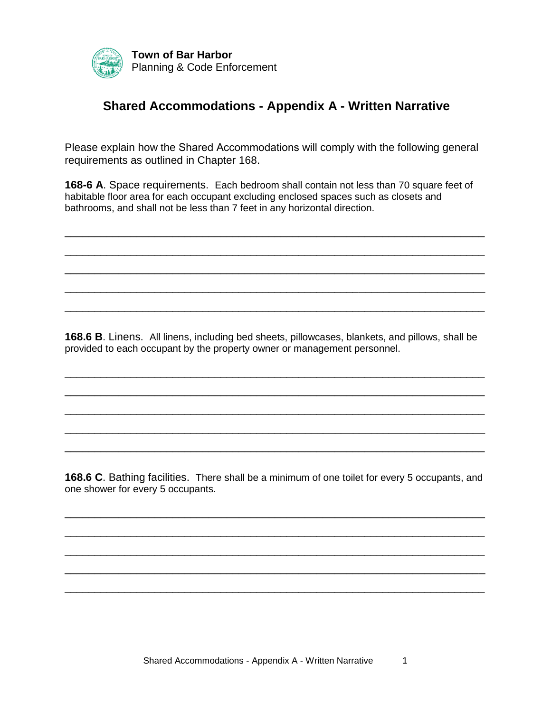

## **Shared Accommodations - Appendix A - Written Narrative**

Please explain how the Shared Accommodations will comply with the following general requirements as outlined in Chapter 168.

**168-6 A**. Space requirements. Each bedroom shall contain not less than 70 square feet of habitable floor area for each occupant excluding enclosed spaces such as closets and bathrooms, and shall not be less than 7 feet in any horizontal direction.

\_\_\_\_\_\_\_\_\_\_\_\_\_\_\_\_\_\_\_\_\_\_\_\_\_\_\_\_\_\_\_\_\_\_\_\_\_\_\_\_\_\_\_\_\_\_\_\_\_\_\_\_\_\_\_\_\_\_\_\_\_\_\_\_\_\_\_\_\_\_

\_\_\_\_\_\_\_\_\_\_\_\_\_\_\_\_\_\_\_\_\_\_\_\_\_\_\_\_\_\_\_\_\_\_\_\_\_\_\_\_\_\_\_\_\_\_\_\_\_\_\_\_\_\_\_\_\_\_\_\_\_\_\_\_\_\_\_\_\_\_

\_\_\_\_\_\_\_\_\_\_\_\_\_\_\_\_\_\_\_\_\_\_\_\_\_\_\_\_\_\_\_\_\_\_\_\_\_\_\_\_\_\_\_\_\_\_\_\_\_\_\_\_\_\_\_\_\_\_\_\_\_\_\_\_\_\_\_\_\_\_

\_\_\_\_\_\_\_\_\_\_\_\_\_\_\_\_\_\_\_\_\_\_\_\_\_\_\_\_\_\_\_\_\_\_\_\_\_\_\_\_\_\_\_\_\_\_\_\_\_\_\_\_\_\_\_\_\_\_\_\_\_\_\_\_\_\_\_\_\_\_

\_\_\_\_\_\_\_\_\_\_\_\_\_\_\_\_\_\_\_\_\_\_\_\_\_\_\_\_\_\_\_\_\_\_\_\_\_\_\_\_\_\_\_\_\_\_\_\_\_\_\_\_\_\_\_\_\_\_\_\_\_\_\_\_\_\_\_\_\_\_

**168.6 B**. Linens. All linens, including bed sheets, pillowcases, blankets, and pillows, shall be provided to each occupant by the property owner or management personnel.

\_\_\_\_\_\_\_\_\_\_\_\_\_\_\_\_\_\_\_\_\_\_\_\_\_\_\_\_\_\_\_\_\_\_\_\_\_\_\_\_\_\_\_\_\_\_\_\_\_\_\_\_\_\_\_\_\_\_\_\_\_\_\_\_\_\_\_\_\_\_

\_\_\_\_\_\_\_\_\_\_\_\_\_\_\_\_\_\_\_\_\_\_\_\_\_\_\_\_\_\_\_\_\_\_\_\_\_\_\_\_\_\_\_\_\_\_\_\_\_\_\_\_\_\_\_\_\_\_\_\_\_\_\_\_\_\_\_\_\_\_

\_\_\_\_\_\_\_\_\_\_\_\_\_\_\_\_\_\_\_\_\_\_\_\_\_\_\_\_\_\_\_\_\_\_\_\_\_\_\_\_\_\_\_\_\_\_\_\_\_\_\_\_\_\_\_\_\_\_\_\_\_\_\_\_\_\_\_\_\_\_

\_\_\_\_\_\_\_\_\_\_\_\_\_\_\_\_\_\_\_\_\_\_\_\_\_\_\_\_\_\_\_\_\_\_\_\_\_\_\_\_\_\_\_\_\_\_\_\_\_\_\_\_\_\_\_\_\_\_\_\_\_\_\_\_\_\_\_\_\_\_

\_\_\_\_\_\_\_\_\_\_\_\_\_\_\_\_\_\_\_\_\_\_\_\_\_\_\_\_\_\_\_\_\_\_\_\_\_\_\_\_\_\_\_\_\_\_\_\_\_\_\_\_\_\_\_\_\_\_\_\_\_\_\_\_\_\_\_\_\_\_

**168.6 C**. Bathing facilities. There shall be a minimum of one toilet for every 5 occupants, and one shower for every 5 occupants.

\_\_\_\_\_\_\_\_\_\_\_\_\_\_\_\_\_\_\_\_\_\_\_\_\_\_\_\_\_\_\_\_\_\_\_\_\_\_\_\_\_\_\_\_\_\_\_\_\_\_\_\_\_\_\_\_\_\_\_\_\_\_\_\_\_\_\_\_\_\_

\_\_\_\_\_\_\_\_\_\_\_\_\_\_\_\_\_\_\_\_\_\_\_\_\_\_\_\_\_\_\_\_\_\_\_\_\_\_\_\_\_\_\_\_\_\_\_\_\_\_\_\_\_\_\_\_\_\_\_\_\_\_\_\_\_\_\_\_\_\_

\_\_\_\_\_\_\_\_\_\_\_\_\_\_\_\_\_\_\_\_\_\_\_\_\_\_\_\_\_\_\_\_\_\_\_\_\_\_\_\_\_\_\_\_\_\_\_\_\_\_\_\_\_\_\_\_\_\_\_\_\_\_\_\_\_\_\_\_\_\_

\_\_\_\_\_\_\_\_\_\_\_\_\_\_\_\_\_\_\_\_\_\_\_\_\_\_\_\_\_\_\_\_\_\_\_\_\_\_\_\_\_\_\_\_\_\_\_\_\_\_\_\_\_\_\_\_\_\_\_\_\_\_\_\_\_\_\_\_\_\_

\_\_\_\_\_\_\_\_\_\_\_\_\_\_\_\_\_\_\_\_\_\_\_\_\_\_\_\_\_\_\_\_\_\_\_\_\_\_\_\_\_\_\_\_\_\_\_\_\_\_\_\_\_\_\_\_\_\_\_\_\_\_\_\_\_\_\_\_\_\_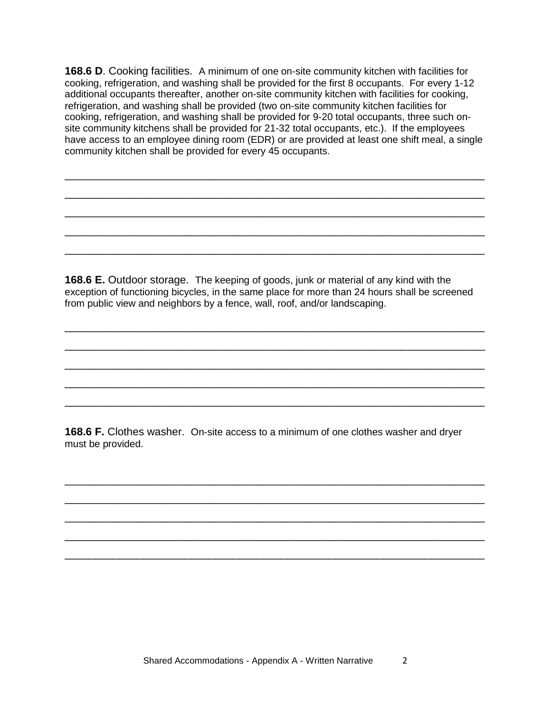**168.6 D.** Cooking facilities. A minimum of one on-site community kitchen with facilities for cooking, refrigeration, and washing shall be provided for the first 8 occupants. For every 1-12 additional occupants thereafter, another on-site community kitchen with facilities for cooking, refrigeration, and washing shall be provided (two on-site community kitchen facilities for cooking, refrigeration, and washing shall be provided for 9-20 total occupants, three such onsite community kitchens shall be provided for 21-32 total occupants, etc.). If the employees have access to an employee dining room (EDR) or are provided at least one shift meal, a single community kitchen shall be provided for every 45 occupants.

\_\_\_\_\_\_\_\_\_\_\_\_\_\_\_\_\_\_\_\_\_\_\_\_\_\_\_\_\_\_\_\_\_\_\_\_\_\_\_\_\_\_\_\_\_\_\_\_\_\_\_\_\_\_\_\_\_\_\_\_\_\_\_\_\_\_\_\_\_\_

\_\_\_\_\_\_\_\_\_\_\_\_\_\_\_\_\_\_\_\_\_\_\_\_\_\_\_\_\_\_\_\_\_\_\_\_\_\_\_\_\_\_\_\_\_\_\_\_\_\_\_\_\_\_\_\_\_\_\_\_\_\_\_\_\_\_\_\_\_\_

\_\_\_\_\_\_\_\_\_\_\_\_\_\_\_\_\_\_\_\_\_\_\_\_\_\_\_\_\_\_\_\_\_\_\_\_\_\_\_\_\_\_\_\_\_\_\_\_\_\_\_\_\_\_\_\_\_\_\_\_\_\_\_\_\_\_\_\_\_\_

\_\_\_\_\_\_\_\_\_\_\_\_\_\_\_\_\_\_\_\_\_\_\_\_\_\_\_\_\_\_\_\_\_\_\_\_\_\_\_\_\_\_\_\_\_\_\_\_\_\_\_\_\_\_\_\_\_\_\_\_\_\_\_\_\_\_\_\_\_\_

\_\_\_\_\_\_\_\_\_\_\_\_\_\_\_\_\_\_\_\_\_\_\_\_\_\_\_\_\_\_\_\_\_\_\_\_\_\_\_\_\_\_\_\_\_\_\_\_\_\_\_\_\_\_\_\_\_\_\_\_\_\_\_\_\_\_\_\_\_\_

**168.6 E.** Outdoor storage. The keeping of goods, junk or material of any kind with the exception of functioning bicycles, in the same place for more than 24 hours shall be screened from public view and neighbors by a fence, wall, roof, and/or landscaping.

\_\_\_\_\_\_\_\_\_\_\_\_\_\_\_\_\_\_\_\_\_\_\_\_\_\_\_\_\_\_\_\_\_\_\_\_\_\_\_\_\_\_\_\_\_\_\_\_\_\_\_\_\_\_\_\_\_\_\_\_\_\_\_\_\_\_\_\_\_\_

\_\_\_\_\_\_\_\_\_\_\_\_\_\_\_\_\_\_\_\_\_\_\_\_\_\_\_\_\_\_\_\_\_\_\_\_\_\_\_\_\_\_\_\_\_\_\_\_\_\_\_\_\_\_\_\_\_\_\_\_\_\_\_\_\_\_\_\_\_\_

\_\_\_\_\_\_\_\_\_\_\_\_\_\_\_\_\_\_\_\_\_\_\_\_\_\_\_\_\_\_\_\_\_\_\_\_\_\_\_\_\_\_\_\_\_\_\_\_\_\_\_\_\_\_\_\_\_\_\_\_\_\_\_\_\_\_\_\_\_\_

\_\_\_\_\_\_\_\_\_\_\_\_\_\_\_\_\_\_\_\_\_\_\_\_\_\_\_\_\_\_\_\_\_\_\_\_\_\_\_\_\_\_\_\_\_\_\_\_\_\_\_\_\_\_\_\_\_\_\_\_\_\_\_\_\_\_\_\_\_\_

\_\_\_\_\_\_\_\_\_\_\_\_\_\_\_\_\_\_\_\_\_\_\_\_\_\_\_\_\_\_\_\_\_\_\_\_\_\_\_\_\_\_\_\_\_\_\_\_\_\_\_\_\_\_\_\_\_\_\_\_\_\_\_\_\_\_\_\_\_\_

\_\_\_\_\_\_\_\_\_\_\_\_\_\_\_\_\_\_\_\_\_\_\_\_\_\_\_\_\_\_\_\_\_\_\_\_\_\_\_\_\_\_\_\_\_\_\_\_\_\_\_\_\_\_\_\_\_\_\_\_\_\_\_\_\_\_\_\_\_\_

\_\_\_\_\_\_\_\_\_\_\_\_\_\_\_\_\_\_\_\_\_\_\_\_\_\_\_\_\_\_\_\_\_\_\_\_\_\_\_\_\_\_\_\_\_\_\_\_\_\_\_\_\_\_\_\_\_\_\_\_\_\_\_\_\_\_\_\_\_\_

\_\_\_\_\_\_\_\_\_\_\_\_\_\_\_\_\_\_\_\_\_\_\_\_\_\_\_\_\_\_\_\_\_\_\_\_\_\_\_\_\_\_\_\_\_\_\_\_\_\_\_\_\_\_\_\_\_\_\_\_\_\_\_\_\_\_\_\_\_\_

\_\_\_\_\_\_\_\_\_\_\_\_\_\_\_\_\_\_\_\_\_\_\_\_\_\_\_\_\_\_\_\_\_\_\_\_\_\_\_\_\_\_\_\_\_\_\_\_\_\_\_\_\_\_\_\_\_\_\_\_\_\_\_\_\_\_\_\_\_\_

\_\_\_\_\_\_\_\_\_\_\_\_\_\_\_\_\_\_\_\_\_\_\_\_\_\_\_\_\_\_\_\_\_\_\_\_\_\_\_\_\_\_\_\_\_\_\_\_\_\_\_\_\_\_\_\_\_\_\_\_\_\_\_\_\_\_\_\_\_\_

**168.6 F.** Clothes washer. On-site access to a minimum of one clothes washer and dryer must be provided.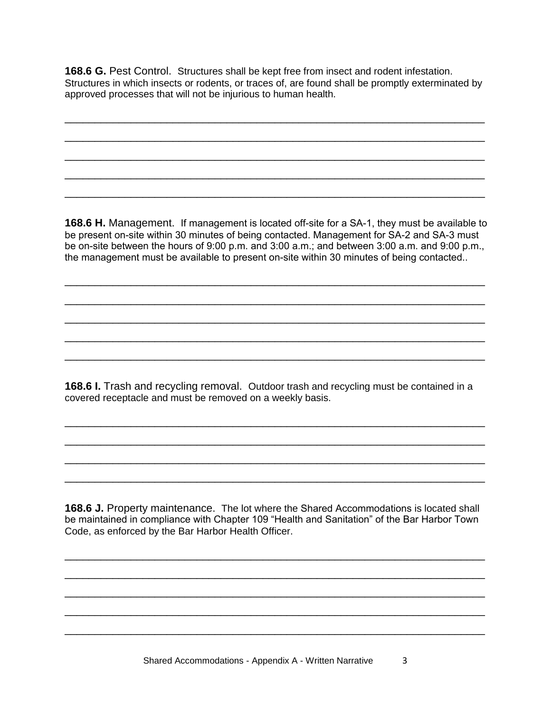**168.6 G.** Pest Control. Structures shall be kept free from insect and rodent infestation. Structures in which insects or rodents, or traces of, are found shall be promptly exterminated by approved processes that will not be injurious to human health.

\_\_\_\_\_\_\_\_\_\_\_\_\_\_\_\_\_\_\_\_\_\_\_\_\_\_\_\_\_\_\_\_\_\_\_\_\_\_\_\_\_\_\_\_\_\_\_\_\_\_\_\_\_\_\_\_\_\_\_\_\_\_\_\_\_\_\_\_\_\_

\_\_\_\_\_\_\_\_\_\_\_\_\_\_\_\_\_\_\_\_\_\_\_\_\_\_\_\_\_\_\_\_\_\_\_\_\_\_\_\_\_\_\_\_\_\_\_\_\_\_\_\_\_\_\_\_\_\_\_\_\_\_\_\_\_\_\_\_\_\_

\_\_\_\_\_\_\_\_\_\_\_\_\_\_\_\_\_\_\_\_\_\_\_\_\_\_\_\_\_\_\_\_\_\_\_\_\_\_\_\_\_\_\_\_\_\_\_\_\_\_\_\_\_\_\_\_\_\_\_\_\_\_\_\_\_\_\_\_\_\_

\_\_\_\_\_\_\_\_\_\_\_\_\_\_\_\_\_\_\_\_\_\_\_\_\_\_\_\_\_\_\_\_\_\_\_\_\_\_\_\_\_\_\_\_\_\_\_\_\_\_\_\_\_\_\_\_\_\_\_\_\_\_\_\_\_\_\_\_\_\_

\_\_\_\_\_\_\_\_\_\_\_\_\_\_\_\_\_\_\_\_\_\_\_\_\_\_\_\_\_\_\_\_\_\_\_\_\_\_\_\_\_\_\_\_\_\_\_\_\_\_\_\_\_\_\_\_\_\_\_\_\_\_\_\_\_\_\_\_\_\_

**168.6 H.** Management. If management is located off-site for a SA-1, they must be available to be present on-site within 30 minutes of being contacted. Management for SA-2 and SA-3 must be on-site between the hours of 9:00 p.m. and 3:00 a.m.; and between 3:00 a.m. and 9:00 p.m., the management must be available to present on-site within 30 minutes of being contacted..

\_\_\_\_\_\_\_\_\_\_\_\_\_\_\_\_\_\_\_\_\_\_\_\_\_\_\_\_\_\_\_\_\_\_\_\_\_\_\_\_\_\_\_\_\_\_\_\_\_\_\_\_\_\_\_\_\_\_\_\_\_\_\_\_\_\_\_\_\_\_

\_\_\_\_\_\_\_\_\_\_\_\_\_\_\_\_\_\_\_\_\_\_\_\_\_\_\_\_\_\_\_\_\_\_\_\_\_\_\_\_\_\_\_\_\_\_\_\_\_\_\_\_\_\_\_\_\_\_\_\_\_\_\_\_\_\_\_\_\_\_

\_\_\_\_\_\_\_\_\_\_\_\_\_\_\_\_\_\_\_\_\_\_\_\_\_\_\_\_\_\_\_\_\_\_\_\_\_\_\_\_\_\_\_\_\_\_\_\_\_\_\_\_\_\_\_\_\_\_\_\_\_\_\_\_\_\_\_\_\_\_

\_\_\_\_\_\_\_\_\_\_\_\_\_\_\_\_\_\_\_\_\_\_\_\_\_\_\_\_\_\_\_\_\_\_\_\_\_\_\_\_\_\_\_\_\_\_\_\_\_\_\_\_\_\_\_\_\_\_\_\_\_\_\_\_\_\_\_\_\_\_

\_\_\_\_\_\_\_\_\_\_\_\_\_\_\_\_\_\_\_\_\_\_\_\_\_\_\_\_\_\_\_\_\_\_\_\_\_\_\_\_\_\_\_\_\_\_\_\_\_\_\_\_\_\_\_\_\_\_\_\_\_\_\_\_\_\_\_\_\_\_

**168.6 I.** Trash and recycling removal. Outdoor trash and recycling must be contained in a covered receptacle and must be removed on a weekly basis.

\_\_\_\_\_\_\_\_\_\_\_\_\_\_\_\_\_\_\_\_\_\_\_\_\_\_\_\_\_\_\_\_\_\_\_\_\_\_\_\_\_\_\_\_\_\_\_\_\_\_\_\_\_\_\_\_\_\_\_\_\_\_\_\_\_\_\_\_\_\_

\_\_\_\_\_\_\_\_\_\_\_\_\_\_\_\_\_\_\_\_\_\_\_\_\_\_\_\_\_\_\_\_\_\_\_\_\_\_\_\_\_\_\_\_\_\_\_\_\_\_\_\_\_\_\_\_\_\_\_\_\_\_\_\_\_\_\_\_\_\_

\_\_\_\_\_\_\_\_\_\_\_\_\_\_\_\_\_\_\_\_\_\_\_\_\_\_\_\_\_\_\_\_\_\_\_\_\_\_\_\_\_\_\_\_\_\_\_\_\_\_\_\_\_\_\_\_\_\_\_\_\_\_\_\_\_\_\_\_\_\_

\_\_\_\_\_\_\_\_\_\_\_\_\_\_\_\_\_\_\_\_\_\_\_\_\_\_\_\_\_\_\_\_\_\_\_\_\_\_\_\_\_\_\_\_\_\_\_\_\_\_\_\_\_\_\_\_\_\_\_\_\_\_\_\_\_\_\_\_\_\_

**168.6 J.** Property maintenance. The lot where the Shared Accommodations is located shall be maintained in compliance with Chapter 109 "Health and Sanitation" of the Bar Harbor Town Code, as enforced by the Bar Harbor Health Officer.

\_\_\_\_\_\_\_\_\_\_\_\_\_\_\_\_\_\_\_\_\_\_\_\_\_\_\_\_\_\_\_\_\_\_\_\_\_\_\_\_\_\_\_\_\_\_\_\_\_\_\_\_\_\_\_\_\_\_\_\_\_\_\_\_\_\_\_\_\_\_

\_\_\_\_\_\_\_\_\_\_\_\_\_\_\_\_\_\_\_\_\_\_\_\_\_\_\_\_\_\_\_\_\_\_\_\_\_\_\_\_\_\_\_\_\_\_\_\_\_\_\_\_\_\_\_\_\_\_\_\_\_\_\_\_\_\_\_\_\_\_

\_\_\_\_\_\_\_\_\_\_\_\_\_\_\_\_\_\_\_\_\_\_\_\_\_\_\_\_\_\_\_\_\_\_\_\_\_\_\_\_\_\_\_\_\_\_\_\_\_\_\_\_\_\_\_\_\_\_\_\_\_\_\_\_\_\_\_\_\_\_

\_\_\_\_\_\_\_\_\_\_\_\_\_\_\_\_\_\_\_\_\_\_\_\_\_\_\_\_\_\_\_\_\_\_\_\_\_\_\_\_\_\_\_\_\_\_\_\_\_\_\_\_\_\_\_\_\_\_\_\_\_\_\_\_\_\_\_\_\_\_

\_\_\_\_\_\_\_\_\_\_\_\_\_\_\_\_\_\_\_\_\_\_\_\_\_\_\_\_\_\_\_\_\_\_\_\_\_\_\_\_\_\_\_\_\_\_\_\_\_\_\_\_\_\_\_\_\_\_\_\_\_\_\_\_\_\_\_\_\_\_